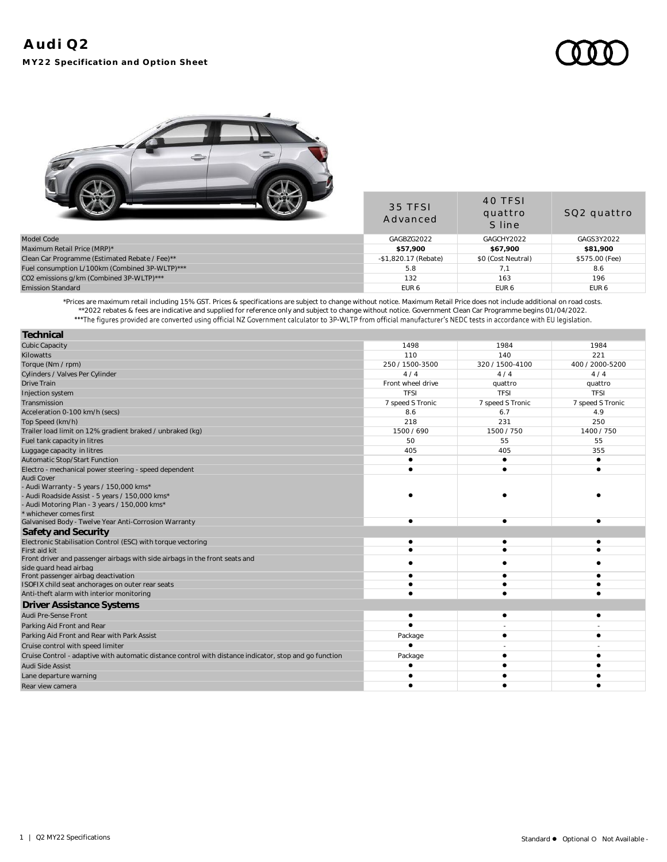

|                                                | 35 TFSI<br>Advanced  | 40 TFSI<br>quattro<br>S line | SQ2 quattro      |
|------------------------------------------------|----------------------|------------------------------|------------------|
| Model Code                                     | GAGBZG2022           | GAGCHY2022                   | GAGS3Y2022       |
| Maximum Retail Price (MRP)*                    | \$57.900             | \$67.900                     | \$81,900         |
| Clean Car Programme (Estimated Rebate / Fee)** | -\$1,820.17 (Rebate) | \$0 (Cost Neutral)           | \$575.00 (Fee)   |
| Fuel consumption L/100km (Combined 3P-WLTP)*** | 5.8                  |                              | 8.6              |
| CO2 emissions g/km (Combined 3P-WLTP)***       | 132                  | 163                          | 196              |
| <b>Emission Standard</b>                       | EUR <sub>6</sub>     | EUR <sub>6</sub>             | EUR <sub>6</sub> |
|                                                |                      |                              |                  |

\*Prices are maximum retail including 15% GST. Prices & specifications are subject to change without notice. Maximum Retail Price does not include additional on road costs. \*\*2022 rebates & fees are indicative and supplied for reference only and subject to change without notice. Government Clean Car Programme begins 01/04/2022.

| Technical                                                                                               |                   |                  |                  |
|---------------------------------------------------------------------------------------------------------|-------------------|------------------|------------------|
| <b>Cubic Capacity</b>                                                                                   | 1498              | 1984             | 1984             |
| Kilowatts                                                                                               | 110               | 140              | 221              |
| Torque (Nm / rpm)                                                                                       | 250 / 1500-3500   | 320 / 1500-4100  | 400 / 2000-5200  |
| Cylinders / Valves Per Cylinder                                                                         | 4/4               | 4/4              | 4/4              |
| <b>Drive Train</b>                                                                                      | Front wheel drive | quattro          | quattro          |
| Injection system                                                                                        | <b>TFSI</b>       | <b>TFSI</b>      | <b>TFSI</b>      |
| Transmission                                                                                            | 7 speed S Tronic  | 7 speed S Tronic | 7 speed S Tronic |
| Acceleration 0-100 km/h (secs)                                                                          | 8.6               | 6.7              | 4.9              |
| Top Speed (km/h)                                                                                        | 218               | 231              | 250              |
| Trailer load limit on 12% gradient braked / unbraked (kg)                                               | 1500 / 690        | 1500 / 750       | 1400 / 750       |
| Fuel tank capacity in litres                                                                            | 50                | 55               | 55               |
| Luggage capacity in litres                                                                              | 405               | 405              | 355              |
| Automatic Stop/Start Function                                                                           | $\bullet$         |                  | $\bullet$        |
| Electro - mechanical power steering - speed dependent                                                   | $\bullet$         |                  |                  |
| Audi Cover                                                                                              |                   |                  |                  |
| - Audi Warranty - 5 years / 150,000 kms*                                                                |                   |                  |                  |
| - Audi Roadside Assist - 5 years / 150,000 kms*                                                         |                   |                  |                  |
| - Audi Motoring Plan - 3 years / 150,000 kms*<br>* whichever comes first                                |                   |                  |                  |
| Galvanised Body - Twelve Year Anti-Corrosion Warranty                                                   | ٠                 |                  |                  |
| Safety and Security                                                                                     |                   |                  |                  |
| Electronic Stabilisation Control (ESC) with torque vectoring                                            |                   |                  |                  |
| First aid kit                                                                                           |                   |                  |                  |
| Front driver and passenger airbags with side airbags in the front seats and                             |                   |                  |                  |
| side quard head airbag                                                                                  |                   |                  |                  |
| Front passenger airbag deactivation                                                                     |                   |                  |                  |
| ISOFIX child seat anchorages on outer rear seats                                                        |                   |                  |                  |
| Anti-theft alarm with interior monitoring                                                               |                   |                  |                  |
| <b>Driver Assistance Systems</b>                                                                        |                   |                  |                  |
| Audi Pre-Sense Front                                                                                    |                   |                  |                  |
| Parking Aid Front and Rear                                                                              |                   |                  |                  |
| Parking Aid Front and Rear with Park Assist                                                             | Package           |                  |                  |
| Cruise control with speed limiter                                                                       |                   |                  |                  |
| Cruise Control - adaptive with automatic distance control with distance indicator, stop and go function | Package           |                  |                  |
| Audi Side Assist                                                                                        |                   |                  |                  |
| Lane departure warning                                                                                  |                   |                  |                  |
| Rear view camera                                                                                        |                   |                  |                  |
|                                                                                                         |                   |                  |                  |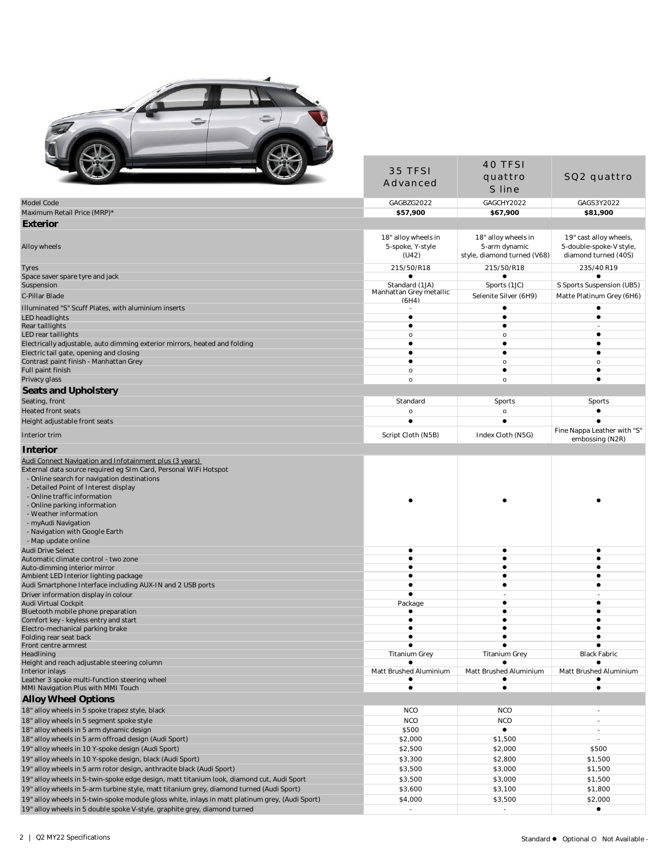

|                                                                                                                 |                                           | 40 TFSI                     |                                                |
|-----------------------------------------------------------------------------------------------------------------|-------------------------------------------|-----------------------------|------------------------------------------------|
|                                                                                                                 | 35 TFSI                                   | quattro                     | SQ2 quattro                                    |
|                                                                                                                 | Advanced                                  | S line                      |                                                |
| Model Code                                                                                                      | GAGBZG2022                                | GAGCHY2022                  | GAGS3Y2022                                     |
| Maximum Retail Price (MRP)*                                                                                     | \$57,900                                  | \$67,900                    | \$81,900                                       |
| Exterior                                                                                                        |                                           |                             |                                                |
|                                                                                                                 | 18" alloy wheels in                       | 18" alloy wheels in         | 19" cast alloy wheels,                         |
| Alloy wheels                                                                                                    | 5-spoke, Y-style                          | 5-arm dynamic               | 5-double-spoke-V style,                        |
|                                                                                                                 | (U42)                                     | style, diamond turned (V68) | diamond turned (40S)                           |
| Tyres                                                                                                           | 215/50/R18                                | 215/50/R18                  | 235/40 R19                                     |
| Space saver spare tyre and jack                                                                                 |                                           | ٠                           |                                                |
| Suspension                                                                                                      | Standard (1JA)<br>Manhattan Grey metallic | Sports (1JC)                | S Sports Suspension (UB5)                      |
| C-Pillar Blade                                                                                                  | (AH4)                                     | Selenite Silver (6H9)       | Matte Platinum Grey (6H6)                      |
| Illuminated "S" Scuff Plates, with aluminium inserts<br><b>LED</b> headlights                                   | $\bullet$                                 | $\bullet$                   | $\bullet$                                      |
| Rear taillights                                                                                                 | $\bullet$                                 | $\bullet$                   |                                                |
| LED rear taillights                                                                                             | $\circ$                                   | $\circ$                     |                                                |
| Electrically adjustable, auto dimming exterior mirrors, heated and folding                                      | $\bullet$                                 | $\bullet$                   |                                                |
| Electric tail gate, opening and closing                                                                         | $\bullet$                                 | $\bullet$                   |                                                |
| Contrast paint finish - Manhattan Grey<br>Full paint finish                                                     | $\bullet$<br>$\mathsf{o}$                 | $\mathsf{o}\,$<br>$\bullet$ | $\mathsf{o}$<br>$\bullet$                      |
| Privacy glass                                                                                                   | $\mathsf{o}$                              | $\circ$                     | ٠                                              |
| Seats and Upholstery                                                                                            |                                           |                             |                                                |
| Seating, front                                                                                                  | Standard                                  | Sports                      | Sports                                         |
| Heated front seats                                                                                              | $\mathsf{o}\xspace$                       | $\circ$                     | $\bullet$                                      |
| Height adjustable front seats                                                                                   | $\bullet$                                 | $\bullet$                   | $\bullet$                                      |
| Interior trim                                                                                                   | Script Cloth (N5B)                        | Index Cloth (N5G)           | Fine Nappa Leather with "S"<br>embossing (N2R) |
| Interior                                                                                                        |                                           |                             |                                                |
| Audi Connect Navigation and Infotainment plus (3 years)                                                         |                                           |                             |                                                |
| External data source required eg SIm Card, Personal WiFi Hotspot                                                |                                           |                             |                                                |
| - Online search for navigation destinations                                                                     |                                           |                             |                                                |
| - Detailed Point of Interest display                                                                            |                                           |                             |                                                |
| - Online traffic information                                                                                    |                                           |                             |                                                |
| - Online parking information<br>- Weather information                                                           |                                           |                             |                                                |
| - myAudi Navigation                                                                                             |                                           |                             |                                                |
| - Navigation with Google Earth                                                                                  |                                           |                             |                                                |
| - Map update online                                                                                             |                                           |                             |                                                |
| <b>Audi Drive Select</b>                                                                                        | $\bullet$                                 | $\bullet$                   | $\bullet$                                      |
| Automatic climate control - two zone                                                                            | $\bullet$<br>$\bullet$                    | $\bullet$                   | ٠                                              |
| Auto-dimming interior mirror<br>Ambient LED Interior lighting package                                           | ٠                                         |                             |                                                |
| Audi Smartphone Interface including AUX-IN and 2 USB ports                                                      | $\bullet$                                 | $\bullet$                   |                                                |
| Driver information display in colour                                                                            | $\bullet$                                 |                             |                                                |
| Audi Virtual Cockpit                                                                                            | Package                                   | ٠<br>$\bullet$              |                                                |
| Bluetooth mobile phone preparation<br>Comfort key - keyless entry and start                                     |                                           |                             |                                                |
| Electro-mechanical parking brake                                                                                |                                           |                             |                                                |
| Folding rear seat back                                                                                          |                                           |                             |                                                |
| Front centre armrest                                                                                            |                                           |                             |                                                |
| Headlining<br>Height and reach adjustable steering column                                                       | <b>Titanium Grey</b>                      | <b>Titanium Grey</b>        | <b>Black Fabric</b>                            |
| Interior inlays                                                                                                 | Matt Brushed Aluminium                    | Matt Brushed Aluminium      | Matt Brushed Aluminium                         |
| Leather 3 spoke multi-function steering wheel                                                                   |                                           |                             |                                                |
| MMI Navigation Plus with MMI Touch                                                                              | $\bullet$                                 | $\bullet$                   | $\bullet$                                      |
| Alloy Wheel Options                                                                                             |                                           |                             |                                                |
| 18" alloy wheels in 5 spoke trapez style, black                                                                 | <b>NCO</b>                                | <b>NCO</b>                  |                                                |
| 18" alloy wheels in 5 segment spoke style                                                                       | <b>NCO</b>                                | <b>NCO</b>                  | $\overline{\phantom{a}}$                       |
| 18" alloy wheels in 5 arm dynamic design                                                                        | \$500                                     | $\bullet$                   | $\blacksquare$                                 |
| 18" alloy wheels in 5 arm offroad design (Audi Sport)                                                           | \$2,000<br>\$2,500                        | \$1,500<br>\$2,000          | $\overline{\phantom{a}}$<br>\$500              |
| 19" alloy wheels in 10 Y-spoke design (Audi Sport)<br>19" alloy wheels in 10 Y-spoke design, black (Audi Sport) | \$3,300                                   | \$2,800                     | \$1,500                                        |
| 19" alloy wheels in 5 arm rotor design, anthracite black (Audi Sport)                                           | \$3,500                                   | \$3,000                     | \$1,500                                        |
| 19" alloy wheels in 5-twin-spoke edge design, matt titanium look, diamond cut, Audi Sport                       | \$3,500                                   | \$3,000                     | \$1,500                                        |
| 19" alloy wheels in 5-arm turbine style, matt titanium grey, diamond turned (Audi Sport)                        | \$3,600                                   | \$3,100                     | \$1,800                                        |
| 19" alloy wheels in 5-twin-spoke module gloss white, inlays in matt platinum grey, (Audi Sport)                 | \$4,000                                   | \$3,500                     | \$2,000                                        |
| 19" alloy wheels in 5 double spoke V-style, graphite grey, diamond turned                                       | $\overline{\phantom{a}}$                  |                             | $\bullet$                                      |